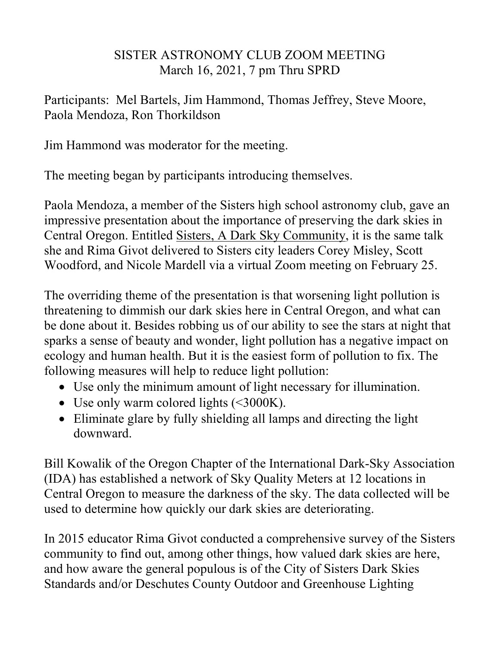## SISTER ASTRONOMY CLUB ZOOM MEETING March 16, 2021, 7 pm Thru SPRD

Participants: Mel Bartels, Jim Hammond, Thomas Jeffrey, Steve Moore, Paola Mendoza, Ron Thorkildson

Jim Hammond was moderator for the meeting.

The meeting began by participants introducing themselves.

Paola Mendoza, a member of the Sisters high school astronomy club, gave an impressive presentation about the importance of preserving the dark skies in Central Oregon. Entitled Sisters, A Dark Sky Community, it is the same talk she and Rima Givot delivered to Sisters city leaders Corey Misley, Scott Woodford, and Nicole Mardell via a virtual Zoom meeting on February 25.

The overriding theme of the presentation is that worsening light pollution is threatening to dimmish our dark skies here in Central Oregon, and what can be done about it. Besides robbing us of our ability to see the stars at night that sparks a sense of beauty and wonder, light pollution has a negative impact on ecology and human health. But it is the easiest form of pollution to fix. The following measures will help to reduce light pollution:

- Use only the minimum amount of light necessary for illumination.
- Use only warm colored lights (<3000K).
- Eliminate glare by fully shielding all lamps and directing the light downward.

Bill Kowalik of the Oregon Chapter of the International Dark-Sky Association (IDA) has established a network of Sky Quality Meters at 12 locations in Central Oregon to measure the darkness of the sky. The data collected will be used to determine how quickly our dark skies are deteriorating.

In 2015 educator Rima Givot conducted a comprehensive survey of the Sisters community to find out, among other things, how valued dark skies are here, and how aware the general populous is of the City of Sisters Dark Skies Standards and/or Deschutes County Outdoor and Greenhouse Lighting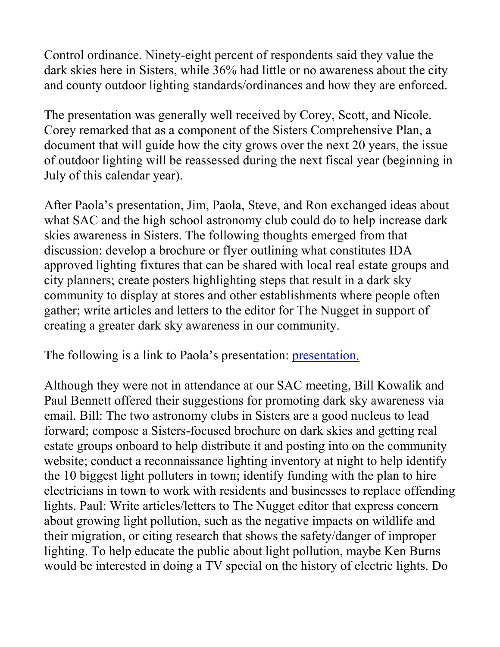Control ordinance. Ninety-eight percent of respondents said they value the dark skies here in Sisters, while 36% had little or no awareness about the city and county outdoor lighting standards/ordinances and how they are enforced.

The presentation was generally well received by Corey, Scott, and Nicole. Corey remarked that as a component of the Sisters Comprehensive Plan, a document that will guide how the city grows over the next 20 years, the issue of outdoor lighting will be reassessed during the next fiscal year (beginning in July of this calendar year).

After Paola's presentation, Jim, Paola, Steve, and Ron exchanged ideas about what SAC and the high school astronomy club could do to help increase dark skies awareness in Sisters. The following thoughts emerged from that discussion: develop a brochure or flyer outlining what constitutes IDA approved lighting fixtures that can be shared with local real estate groups and city planners; create posters highlighting steps that result in a dark sky community to display at stores and other establishments where people often gather; write articles and letters to the editor for The Nugget in support of creating a greater dark sky awareness in our community.

The following is a link to Paola's presentation: [presentation.](https://docs.google.com/presentation/d/1d8F_D5GzyuKntWu9MDHIh2GKrAUkLRUYCV15zEnxBd4/edit?usp=sharing)

Although they were not in attendance at our SAC meeting, Bill Kowalik and Paul Bennett offered their suggestions for promoting dark sky awareness via email. Bill: The two astronomy clubs in Sisters are a good nucleus to lead forward; compose a Sisters-focused brochure on dark skies and getting real estate groups onboard to help distribute it and posting into on the community website; conduct a reconnaissance lighting inventory at night to help identify the 10 biggest light polluters in town; identify funding with the plan to hire electricians in town to work with residents and businesses to replace offending lights. Paul: Write articles/letters to The Nugget editor that express concern about growing light pollution, such as the negative impacts on wildlife and their migration, or citing research that shows the safety/danger of improper lighting. To help educate the public about light pollution, maybe Ken Burns would be interested in doing a TV special on the history of electric lights. Do